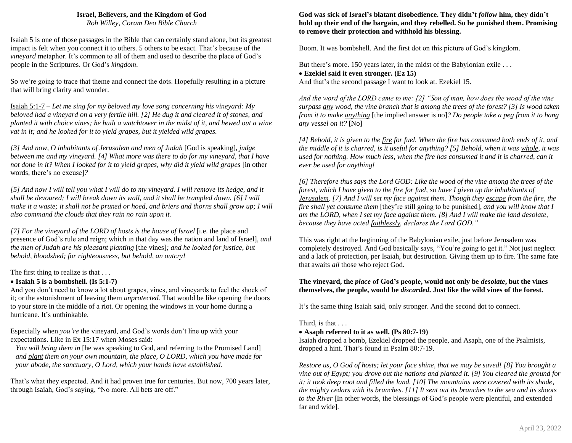### **Israel, Believers, and the Kingdom of God**

*Rob Willey, Coram Deo Bible Church*

Isaiah 5 is one of those passages in the Bible that can certainly stand alone, but its greatest impact is felt when you connect it to others. 5 others to be exact. That's because of the *vineyard* metaphor. It's common to all of them and used to describe the place of God's people in the Scriptures. Or God's *kingdom*.

So we're going to trace that theme and connect the dots. Hopefully resulting in a picture that will bring clarity and wonder.

Isaiah 5:1-7 – *Let me sing for my beloved my love song concerning his vineyard: My beloved had a vineyard on a very fertile hill. [2] He dug it and cleared it of stones, and planted it with choice vines; he built a watchtower in the midst of it, and hewed out a wine vat in it; and he looked for it to yield grapes, but it yielded wild grapes.*

*[3] And now, O inhabitants of Jerusalem and men of Judah* [God is speaking]*, judge between me and my vineyard. [4] What more was there to do for my vineyard, that I have not done in it? When I looked for it to yield grapes, why did it yield wild grapes* [in other words, there's no excuse]*?*

*[5] And now I will tell you what I will do to my vineyard. I will remove its hedge, and it shall be devoured; I will break down its wall, and it shall be trampled down. [6] I will make it a waste; it shall not be pruned or hoed, and briers and thorns shall grow up; I will also command the clouds that they rain no rain upon it.*

*[7] For the vineyard of the LORD of hosts is the house of Israel* [i.e. the place and presence of God's rule and reign; which in that day was the nation and land of Israel]*, and the men of Judah are his pleasant planting* [the vines]*; and he looked for justice, but behold, bloodshed; for righteousness, but behold, an outcry!*

The first thing to realize is that . . .

### • **Isaiah 5 is a bombshell. (Is 5:1-7)**

And you don't need to know a lot about grapes, vines, and vineyards to feel the shock of it; or the astonishment of leaving them *unprotected.* That would be like opening the doors to your store in the middle of a riot. Or opening the windows in your home during a hurricane. It's unthinkable.

Especially when *you're* the vineyard, and God's words don't line up with your expectations. Like in Ex 15:17 when Moses said:

*You will bring them in* [he was speaking to God, and referring to the Promised Land] *and plant them on your own mountain, the place, O LORD, which you have made for your abode, the sanctuary, O Lord, which your hands have established.*

That's what they expected. And it had proven true for centuries. But now, 700 years later, through Isaiah, God's saying, "No more. All bets are off."

### **God was sick of Israel's blatant disobedience. They didn't** *follow* **him, they didn't hold up their end of the bargain, and they rebelled. So he punished them. Promising to remove their protection and withhold his blessing.**

Boom. It was bombshell. And the first dot on this picture of God's kingdom.

But there's more. 150 years later, in the midst of the Babylonian exile ...

### • **Ezekiel said it even stronger. (Ez 15)**

And that's the second passage I want to look at. Ezekiel 15.

*And the word of the LORD came to me: [2] "Son of man, how does the wood of the vine surpass any wood, the vine branch that is among the trees of the forest? [3] Is wood taken from it to make anything* [the implied answer is no]*? Do people take a peg from it to hang any vessel on it?* [No]

*[4] Behold, it is given to the fire for fuel. When the fire has consumed both ends of it, and the middle of it is charred, is it useful for anything? [5] Behold, when it was whole, it was used for nothing. How much less, when the fire has consumed it and it is charred, can it ever be used for anything!*

*[6] Therefore thus says the Lord GOD: Like the wood of the vine among the trees of the forest, which I have given to the fire for fuel, so have I given up the inhabitants of Jerusalem. [7] And I will set my face against them. Though they escape from the fire, the fire shall yet consume them* [they're still going to be punished]*, and you will know that I am the LORD, when I set my face against them. [8] And I will make the land desolate, because they have acted faithlessly, declares the Lord GOD."*

This was right at the beginning of the Babylonian exile, just before Jerusalem was completely destroyed. And God basically says, "You're going to get it." Not just neglect and a lack of protection, per Isaiah, but destruction. Giving them up to fire. The same fate that awaits *all* those who reject God.

## **The vineyard, the** *place* **of God's people, would not only be** *desolate***, but the vines themselves, the people, would be** *discarded***. Just like the wild vines of the forest.**

It's the same thing Isaiah said, only stronger. And the second dot to connect.

# Third, is that . . .

# • **Asaph referred to it as well. (Ps 80:7-19)**

Isaiah dropped a bomb, Ezekiel dropped the people, and Asaph, one of the Psalmists, dropped a hint. That's found in Psalm 80:7-19.

*Restore us, O God of hosts; let your face shine, that we may be saved! [8] You brought a vine out of Egypt; you drove out the nations and planted it. [9] You cleared the ground for it; it took deep root and filled the land. [10] The mountains were covered with its shade, the mighty cedars with its branches. [11] It sent out its branches to the sea and its shoots to the River* [In other words, the blessings of God's people were plentiful, and extended far and wide]*.*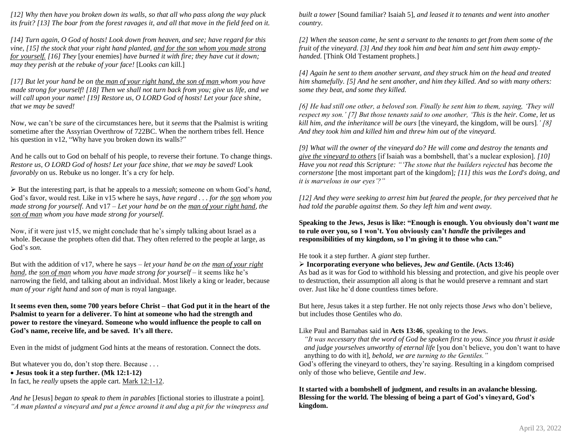*[12] Why then have you broken down its walls, so that all who pass along the way pluck its fruit? [13] The boar from the forest ravages it, and all that move in the field feed on it.*

*[14] Turn again, O God of hosts! Look down from heaven, and see; have regard for this vine, [15] the stock that your right hand planted, and for the son whom you made strong for yourself. [16] They* [your enemies] *have burned it with fire; they have cut it down; may they perish at the rebuke of your face!* [Looks *can* kill.]

*[17] But let your hand be on the man of your right hand, the son of man whom you have made strong for yourself! [18] Then we shall not turn back from you; give us life, and we will call upon your name! [19] Restore us, O LORD God of hosts! Let your face shine, that we may be saved!*

Now, we can't be *sure* of the circumstances here, but it *seems* that the Psalmist is writing sometime after the Assyrian Overthrow of 722BC. When the northern tribes fell. Hence his question in v12, "Why have you broken down its walls?"

And he calls out to God on behalf of his people, to reverse their fortune. To change things. *Restore us, O LORD God of hosts! Let your face shine, that we may be saved!* Look *favorably* on us. Rebuke us no longer. It's a cry for help.

➢ But the interesting part, is that he appeals to a *messiah*; someone on whom God's *hand*, God's favor, would rest. Like in v15 where he says, *have regard . . . for the son whom you made strong for yourself*. And v17 – *Let your hand be on the man of your right hand, the son of man whom you have made strong for yourself.*

Now, if it were just v15, we might conclude that he's simply talking about Israel as a whole. Because the prophets often did that. They often referred to the people at large, as God's *son.*

But with the addition of v17, where he says – *let your hand be on the man of your right hand, the son of man whom you have made strong for yourself* – it seems like he's narrowing the field, and talking about an individual. Most likely a king or leader, because *man of your right hand* and *son of man* is royal language.

**It seems even then, some 700 years before Christ – that God put it in the heart of the Psalmist to yearn for a deliverer. To hint at someone who had the strength and power to restore the vineyard. Someone who would influence the people to call on God's name, receive life, and be saved. It's all there.**

Even in the midst of judgment God hints at the means of restoration. Connect the dots.

But whatever you do, don't stop there. Because . . . • **Jesus took it a step further. (Mk 12:1-12)** In fact, he *really* upsets the apple cart. Mark 12:1-12.

*And he* [Jesus] *began to speak to them in parables* [fictional stories to illustrate a point]*. "A man planted a vineyard and put a fence around it and dug a pit for the winepress and*  *built a tower* [Sound familiar? Isaiah 5]*, and leased it to tenants and went into another country.*

*[2] When the season came, he sent a servant to the tenants to get from them some of the fruit of the vineyard. [3] And they took him and beat him and sent him away emptyhanded.* [Think Old Testament prophets.]

*[4] Again he sent to them another servant, and they struck him on the head and treated him shamefully. [5] And he sent another, and him they killed. And so with many others: some they beat, and some they killed.*

*[6] He had still one other, a beloved son. Finally he sent him to them, saying, 'They will respect my son.' [7] But those tenants said to one another, 'This is the heir. Come, let us kill him, and the inheritance will be ours* [the vineyard, the kingdom, will be ours]*.' [8] And they took him and killed him and threw him out of the vineyard.*

*[9] What will the owner of the vineyard do? He will come and destroy the tenants and give the vineyard to others* [if Isaiah was a bombshell, that's a nuclear explosion]*. [10] Have you not read this Scripture: "'The stone that the builders rejected has become the cornerstone* [the most important part of the kingdom]*; [11] this was the Lord's doing, and it is marvelous in our eyes'?"*

*[12] And they were seeking to arrest him but feared the people, for they perceived that he had told the parable against them. So they left him and went away.*

**Speaking to the Jews, Jesus is like: "Enough is enough. You obviously don't** *want* **me to rule over you, so I won't. You obviously can't** *handle* **the privileges and responsibilities of my kingdom, so I'm giving it to those who can."**

He took it a step further. A *giant* step further.

➢ **Incorporating everyone who believes, Jew** *and* **Gentile. (Acts 13:46)**

As bad as it was for God to withhold his blessing and protection, and give his people over to destruction, their assumption all along is that he would preserve a remnant and start over. Just like he'd done countless times before.

But here, Jesus takes it a step further. He not only rejects those *Jews* who don't believe, but includes those Gentiles who *do*.

Like Paul and Barnabas said in **Acts 13:46**, speaking to the Jews.

*"It was necessary that the word of God be spoken first to you. Since you thrust it aside and judge yourselves unworthy of eternal life* [you don't believe, you don't want to have anything to do with it]*, behold, we are turning to the Gentiles."*

God's offering the vineyard to others, they're saying. Resulting in a kingdom comprised only of those who believe, Gentile *and* Jew.

## **It started with a bombshell of judgment, and results in an avalanche blessing. Blessing for the world. The blessing of being a part of God's vineyard, God's kingdom.**